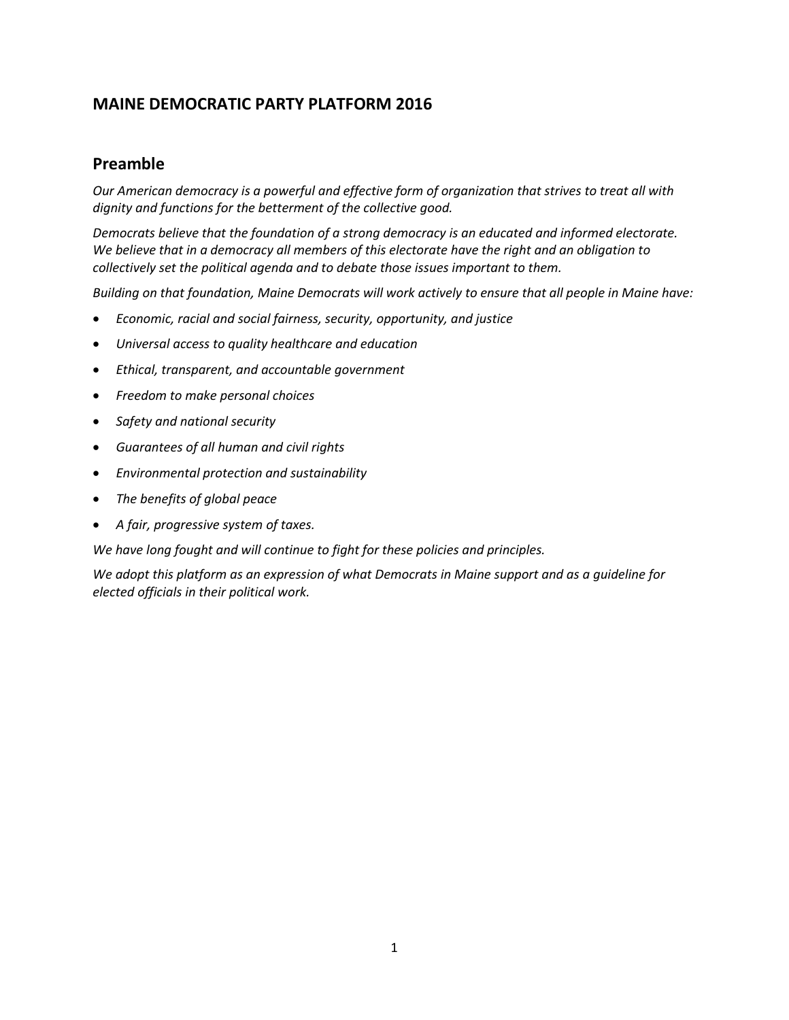## **MAINE DEMOCRATIC PARTY PLATFORM 2016**

### **Preamble**

*Our American democracy is a powerful and effective form of organization that strives to treat all with dignity and functions for the betterment of the collective good.* 

*Democrats believe that the foundation of a strong democracy is an educated and informed electorate. We believe that in a democracy all members of this electorate have the right and an obligation to collectively set the political agenda and to debate those issues important to them.*

*Building on that foundation, Maine Democrats will work actively to ensure that all people in Maine have:* 

- *Economic, racial and social fairness, security, opportunity, and justice*
- *Universal access to quality healthcare and education*
- *Ethical, transparent, and accountable government*
- *Freedom to make personal choices*
- *Safety and national security*
- *Guarantees of all human and civil rights*
- *Environmental protection and sustainability*
- *The benefits of global peace*
- *A fair, progressive system of taxes.*

*We have long fought and will continue to fight for these policies and principles.* 

*We adopt this platform as an expression of what Democrats in Maine support and as a guideline for elected officials in their political work.*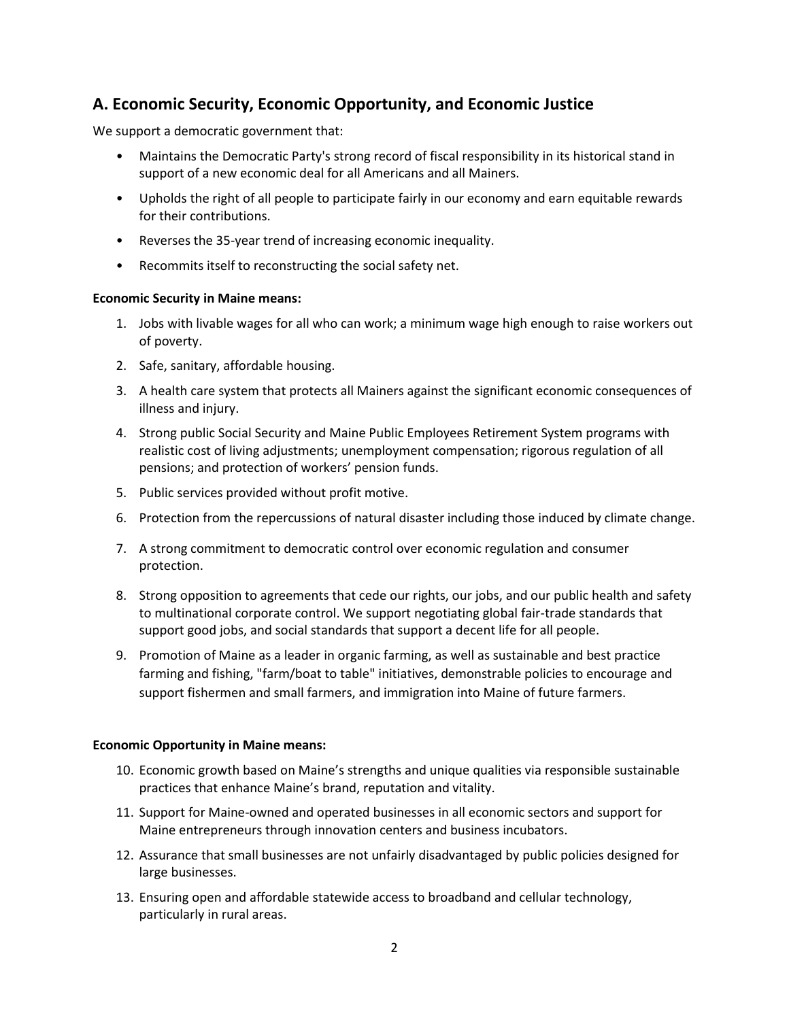## **A. Economic Security, Economic Opportunity, and Economic Justice**

We support a democratic government that:

- Maintains the Democratic Party's strong record of fiscal responsibility in its historical stand in support of a new economic deal for all Americans and all Mainers.
- Upholds the right of all people to participate fairly in our economy and earn equitable rewards for their contributions.
- Reverses the 35-year trend of increasing economic inequality.
- Recommits itself to reconstructing the social safety net.

#### **Economic Security in Maine means:**

- 1. Jobs with livable wages for all who can work; a minimum wage high enough to raise workers out of poverty.
- 2. Safe, sanitary, affordable housing.
- 3. A health care system that protects all Mainers against the significant economic consequences of illness and injury.
- 4. Strong public Social Security and Maine Public Employees Retirement System programs with realistic cost of living adjustments; unemployment compensation; rigorous regulation of all pensions; and protection of workers' pension funds.
- 5. Public services provided without profit motive.
- 6. Protection from the repercussions of natural disaster including those induced by climate change.
- 7. A strong commitment to democratic control over economic regulation and consumer protection.
- 8. Strong opposition to agreements that cede our rights, our jobs, and our public health and safety to multinational corporate control. We support negotiating global fair-trade standards that support good jobs, and social standards that support a decent life for all people.
- 9. Promotion of Maine as a leader in organic farming, as well as sustainable and best practice farming and fishing, "farm/boat to table" initiatives, demonstrable policies to encourage and support fishermen and small farmers, and immigration into Maine of future farmers.

#### **Economic Opportunity in Maine means:**

- 10. Economic growth based on Maine's strengths and unique qualities via responsible sustainable practices that enhance Maine's brand, reputation and vitality.
- 11. Support for Maine-owned and operated businesses in all economic sectors and support for Maine entrepreneurs through innovation centers and business incubators.
- 12. Assurance that small businesses are not unfairly disadvantaged by public policies designed for large businesses.
- 13. Ensuring open and affordable statewide access to broadband and cellular technology, particularly in rural areas.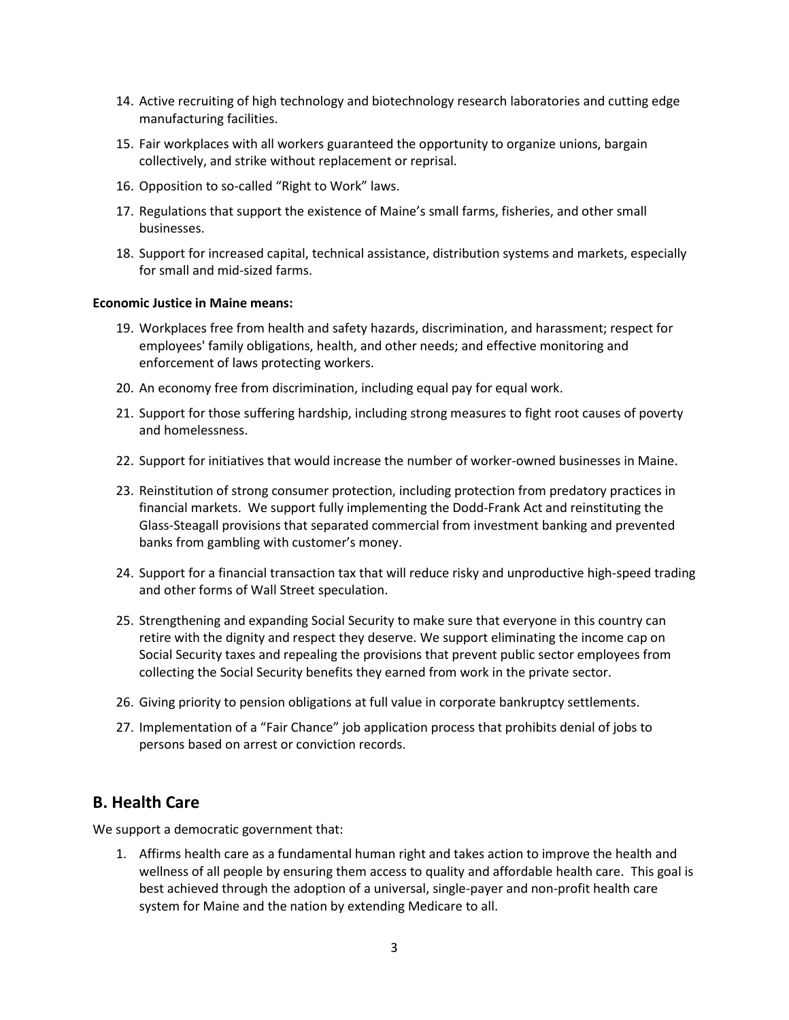- 14. Active recruiting of high technology and biotechnology research laboratories and cutting edge manufacturing facilities.
- 15. Fair workplaces with all workers guaranteed the opportunity to organize unions, bargain collectively, and strike without replacement or reprisal.
- 16. Opposition to so-called "Right to Work" laws.
- 17. Regulations that support the existence of Maine's small farms, fisheries, and other small businesses.
- 18. Support for increased capital, technical assistance, distribution systems and markets, especially for small and mid-sized farms.

#### **Economic Justice in Maine means:**

- 19. Workplaces free from health and safety hazards, discrimination, and harassment; respect for employees' family obligations, health, and other needs; and effective monitoring and enforcement of laws protecting workers.
- 20. An economy free from discrimination, including equal pay for equal work.
- 21. Support for those suffering hardship, including strong measures to fight root causes of poverty and homelessness.
- 22. Support for initiatives that would increase the number of worker-owned businesses in Maine.
- 23. Reinstitution of strong consumer protection, including protection from predatory practices in financial markets. We support fully implementing the Dodd-Frank Act and reinstituting the Glass-Steagall provisions that separated commercial from investment banking and prevented banks from gambling with customer's money.
- 24. Support for a financial transaction tax that will reduce risky and unproductive high-speed trading and other forms of Wall Street speculation.
- 25. Strengthening and expanding Social Security to make sure that everyone in this country can retire with the dignity and respect they deserve. We support eliminating the income cap on Social Security taxes and repealing the provisions that prevent public sector employees from collecting the Social Security benefits they earned from work in the private sector.
- 26. Giving priority to pension obligations at full value in corporate bankruptcy settlements.
- 27. Implementation of a "Fair Chance" job application process that prohibits denial of jobs to persons based on arrest or conviction records.

#### **B. Health Care**

We support a democratic government that:

1. Affirms health care as a fundamental human right and takes action to improve the health and wellness of all people by ensuring them access to quality and affordable health care. This goal is best achieved through the adoption of a universal, single-payer and non-profit health care system for Maine and the nation by extending Medicare to all.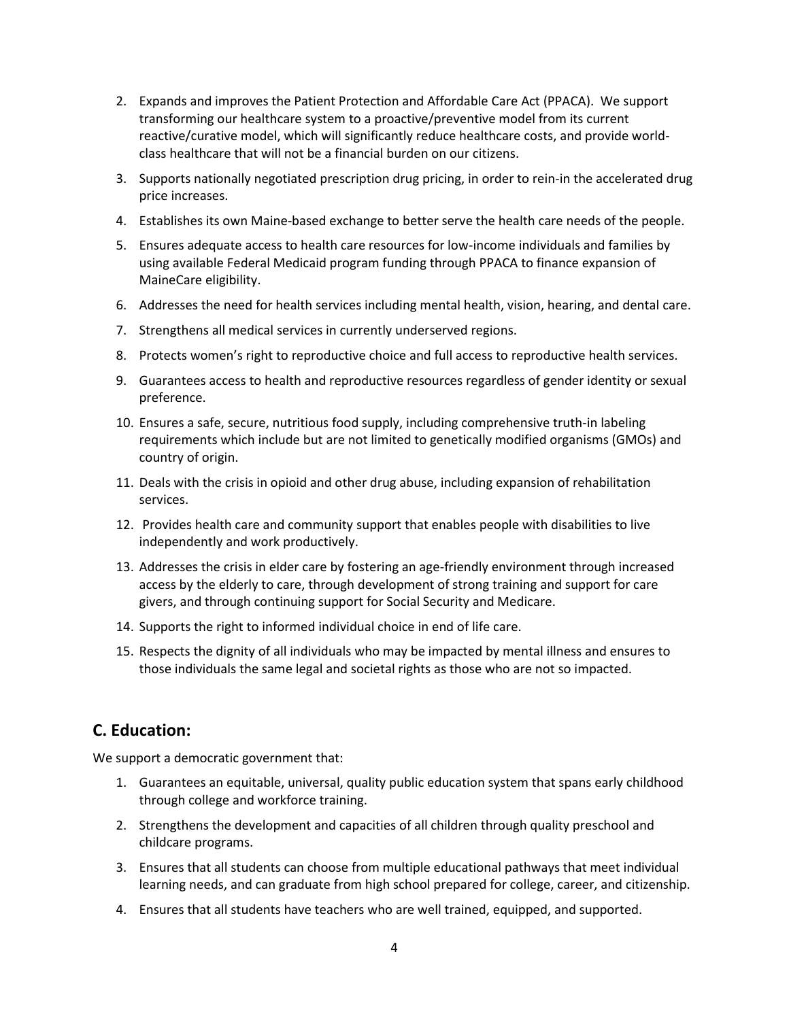- 2. Expands and improves the Patient Protection and Affordable Care Act (PPACA). We support transforming our healthcare system to a proactive/preventive model from its current reactive/curative model, which will significantly reduce healthcare costs, and provide worldclass healthcare that will not be a financial burden on our citizens.
- 3. Supports nationally negotiated prescription drug pricing, in order to rein-in the accelerated drug price increases.
- 4. Establishes its own Maine-based exchange to better serve the health care needs of the people.
- 5. Ensures adequate access to health care resources for low-income individuals and families by using available Federal Medicaid program funding through PPACA to finance expansion of MaineCare eligibility.
- 6. Addresses the need for health services including mental health, vision, hearing, and dental care.
- 7. Strengthens all medical services in currently underserved regions.
- 8. Protects women's right to reproductive choice and full access to reproductive health services.
- 9. Guarantees access to health and reproductive resources regardless of gender identity or sexual preference.
- 10. Ensures a safe, secure, nutritious food supply, including comprehensive truth-in labeling requirements which include but are not limited to genetically modified organisms (GMOs) and country of origin.
- 11. Deals with the crisis in opioid and other drug abuse, including expansion of rehabilitation services.
- 12. Provides health care and community support that enables people with disabilities to live independently and work productively.
- 13. Addresses the crisis in elder care by fostering an age-friendly environment through increased access by the elderly to care, through development of strong training and support for care givers, and through continuing support for Social Security and Medicare.
- 14. Supports the right to informed individual choice in end of life care.
- 15. Respects the dignity of all individuals who may be impacted by mental illness and ensures to those individuals the same legal and societal rights as those who are not so impacted.

### **C. Education:**

- 1. Guarantees an equitable, universal, quality public education system that spans early childhood through college and workforce training.
- 2. Strengthens the development and capacities of all children through quality preschool and childcare programs.
- 3. Ensures that all students can choose from multiple educational pathways that meet individual learning needs, and can graduate from high school prepared for college, career, and citizenship.
- 4. Ensures that all students have teachers who are well trained, equipped, and supported.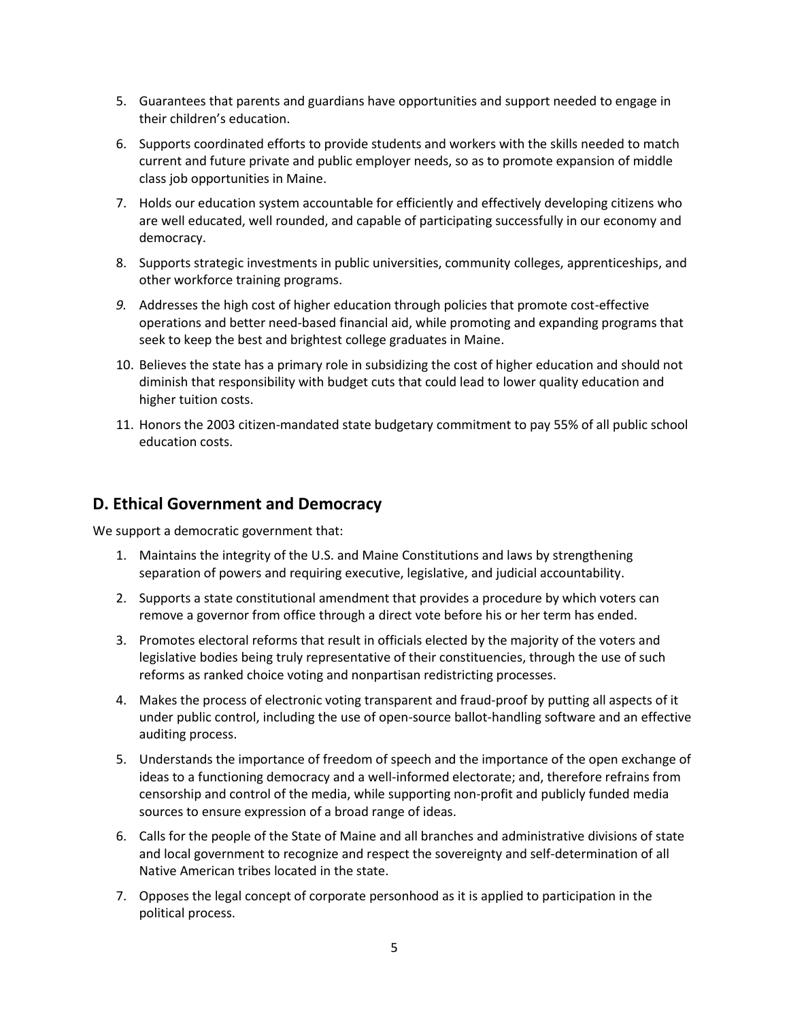- 5. Guarantees that parents and guardians have opportunities and support needed to engage in their children's education.
- 6. Supports coordinated efforts to provide students and workers with the skills needed to match current and future private and public employer needs, so as to promote expansion of middle class job opportunities in Maine.
- 7. Holds our education system accountable for efficiently and effectively developing citizens who are well educated, well rounded, and capable of participating successfully in our economy and democracy.
- 8. Supports strategic investments in public universities, community colleges, apprenticeships, and other workforce training programs.
- *9.* Addresses the high cost of higher education through policies that promote cost-effective operations and better need-based financial aid, while promoting and expanding programs that seek to keep the best and brightest college graduates in Maine.
- 10. Believes the state has a primary role in subsidizing the cost of higher education and should not diminish that responsibility with budget cuts that could lead to lower quality education and higher tuition costs.
- 11. Honors the 2003 citizen-mandated state budgetary commitment to pay 55% of all public school education costs.

### **D. Ethical Government and Democracy**

- 1. Maintains the integrity of the U.S. and Maine Constitutions and laws by strengthening separation of powers and requiring executive, legislative, and judicial accountability.
- 2. Supports a state constitutional amendment that provides a procedure by which voters can remove a governor from office through a direct vote before his or her term has ended.
- 3. Promotes electoral reforms that result in officials elected by the majority of the voters and legislative bodies being truly representative of their constituencies, through the use of such reforms as ranked choice voting and nonpartisan redistricting processes.
- 4. Makes the process of electronic voting transparent and fraud-proof by putting all aspects of it under public control, including the use of open-source ballot-handling software and an effective auditing process.
- 5. Understands the importance of freedom of speech and the importance of the open exchange of ideas to a functioning democracy and a well-informed electorate; and, therefore refrains from censorship and control of the media, while supporting non-profit and publicly funded media sources to ensure expression of a broad range of ideas.
- 6. Calls for the people of the State of Maine and all branches and administrative divisions of state and local government to recognize and respect the sovereignty and self-determination of all Native American tribes located in the state.
- 7. Opposes the legal concept of corporate personhood as it is applied to participation in the political process.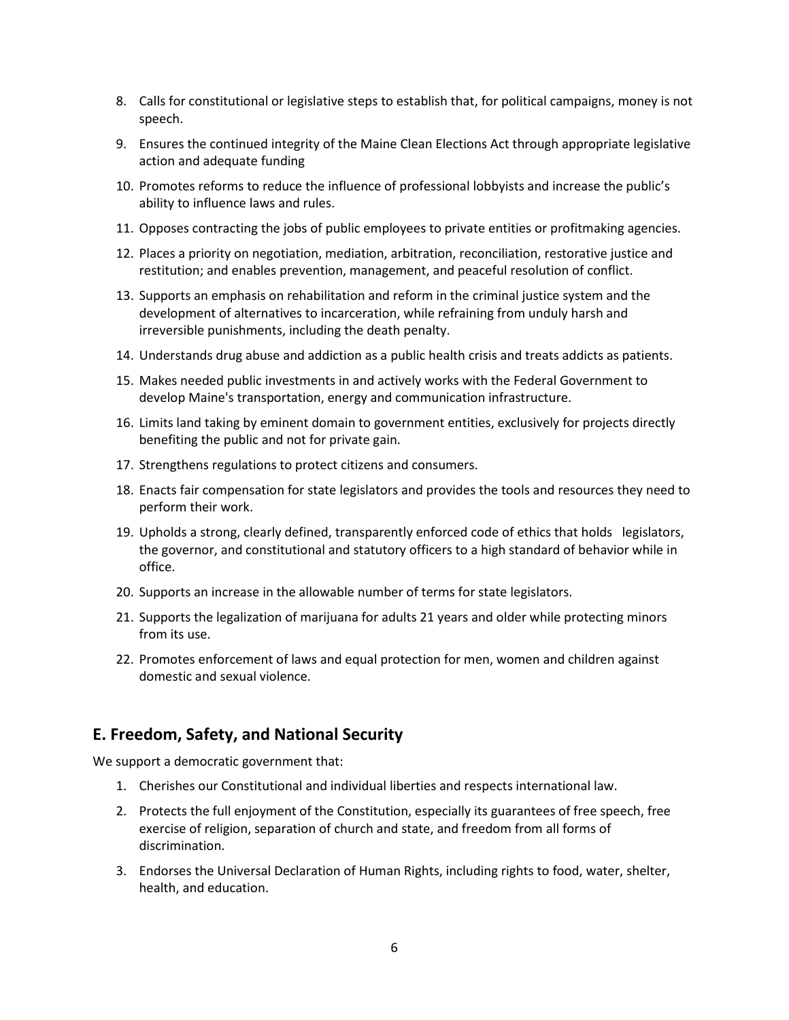- 8. Calls for constitutional or legislative steps to establish that, for political campaigns, money is not speech.
- 9. Ensures the continued integrity of the Maine Clean Elections Act through appropriate legislative action and adequate funding
- 10. Promotes reforms to reduce the influence of professional lobbyists and increase the public's ability to influence laws and rules.
- 11. Opposes contracting the jobs of public employees to private entities or profitmaking agencies.
- 12. Places a priority on negotiation, mediation, arbitration, reconciliation, restorative justice and restitution; and enables prevention, management, and peaceful resolution of conflict.
- 13. Supports an emphasis on rehabilitation and reform in the criminal justice system and the development of alternatives to incarceration, while refraining from unduly harsh and irreversible punishments, including the death penalty.
- 14. Understands drug abuse and addiction as a public health crisis and treats addicts as patients.
- 15. Makes needed public investments in and actively works with the Federal Government to develop Maine's transportation, energy and communication infrastructure.
- 16. Limits land taking by eminent domain to government entities, exclusively for projects directly benefiting the public and not for private gain.
- 17. Strengthens regulations to protect citizens and consumers.
- 18. Enacts fair compensation for state legislators and provides the tools and resources they need to perform their work.
- 19. Upholds a strong, clearly defined, transparently enforced code of ethics that holds legislators, the governor, and constitutional and statutory officers to a high standard of behavior while in office.
- 20. Supports an increase in the allowable number of terms for state legislators.
- 21. Supports the legalization of marijuana for adults 21 years and older while protecting minors from its use.
- 22. Promotes enforcement of laws and equal protection for men, women and children against domestic and sexual violence.

#### **E. Freedom, Safety, and National Security**

- 1. Cherishes our Constitutional and individual liberties and respects international law.
- 2. Protects the full enjoyment of the Constitution, especially its guarantees of free speech, free exercise of religion, separation of church and state, and freedom from all forms of discrimination.
- 3. Endorses the Universal Declaration of Human Rights, including rights to food, water, shelter, health, and education.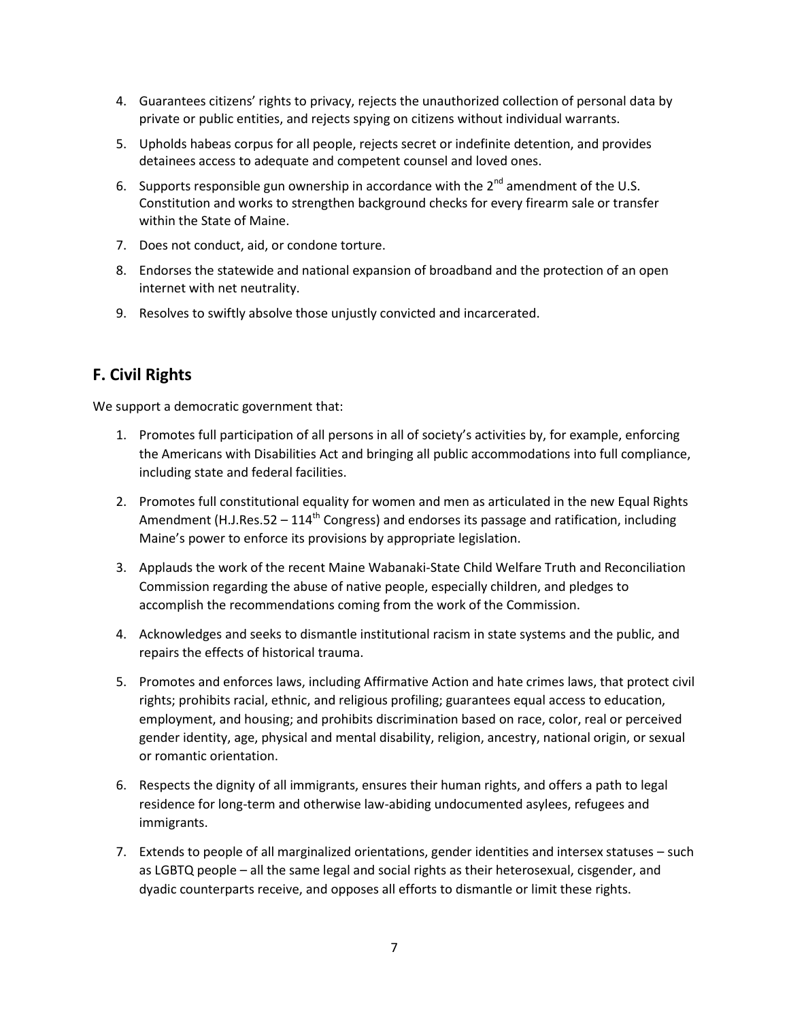- 4. Guarantees citizens' rights to privacy, rejects the unauthorized collection of personal data by private or public entities, and rejects spying on citizens without individual warrants.
- 5. Upholds habeas corpus for all people, rejects secret or indefinite detention, and provides detainees access to adequate and competent counsel and loved ones.
- 6. Supports responsible gun ownership in accordance with the  $2^{nd}$  amendment of the U.S. Constitution and works to strengthen background checks for every firearm sale or transfer within the State of Maine.
- 7. Does not conduct, aid, or condone torture.
- 8. Endorses the statewide and national expansion of broadband and the protection of an open internet with net neutrality.
- 9. Resolves to swiftly absolve those unjustly convicted and incarcerated.

# **F. Civil Rights**

- 1. Promotes full participation of all persons in all of society's activities by, for example, enforcing the Americans with Disabilities Act and bringing all public accommodations into full compliance, including state and federal facilities.
- 2. Promotes full constitutional equality for women and men as articulated in the new Equal Rights Amendment (H.J.Res.52 – 114<sup>th</sup> Congress) and endorses its passage and ratification, including Maine's power to enforce its provisions by appropriate legislation.
- 3. Applauds the work of the recent Maine Wabanaki-State Child Welfare Truth and Reconciliation Commission regarding the abuse of native people, especially children, and pledges to accomplish the recommendations coming from the work of the Commission.
- 4. Acknowledges and seeks to dismantle institutional racism in state systems and the public, and repairs the effects of historical trauma.
- 5. Promotes and enforces laws, including Affirmative Action and hate crimes laws, that protect civil rights; prohibits racial, ethnic, and religious profiling; guarantees equal access to education, employment, and housing; and prohibits discrimination based on race, color, real or perceived gender identity, age, physical and mental disability, religion, ancestry, national origin, or sexual or romantic orientation.
- 6. Respects the dignity of all immigrants, ensures their human rights, and offers a path to legal residence for long-term and otherwise law-abiding undocumented asylees, refugees and immigrants.
- 7. Extends to people of all marginalized orientations, gender identities and intersex statuses such as LGBTQ people – all the same legal and social rights as their heterosexual, cisgender, and dyadic counterparts receive, and opposes all efforts to dismantle or limit these rights.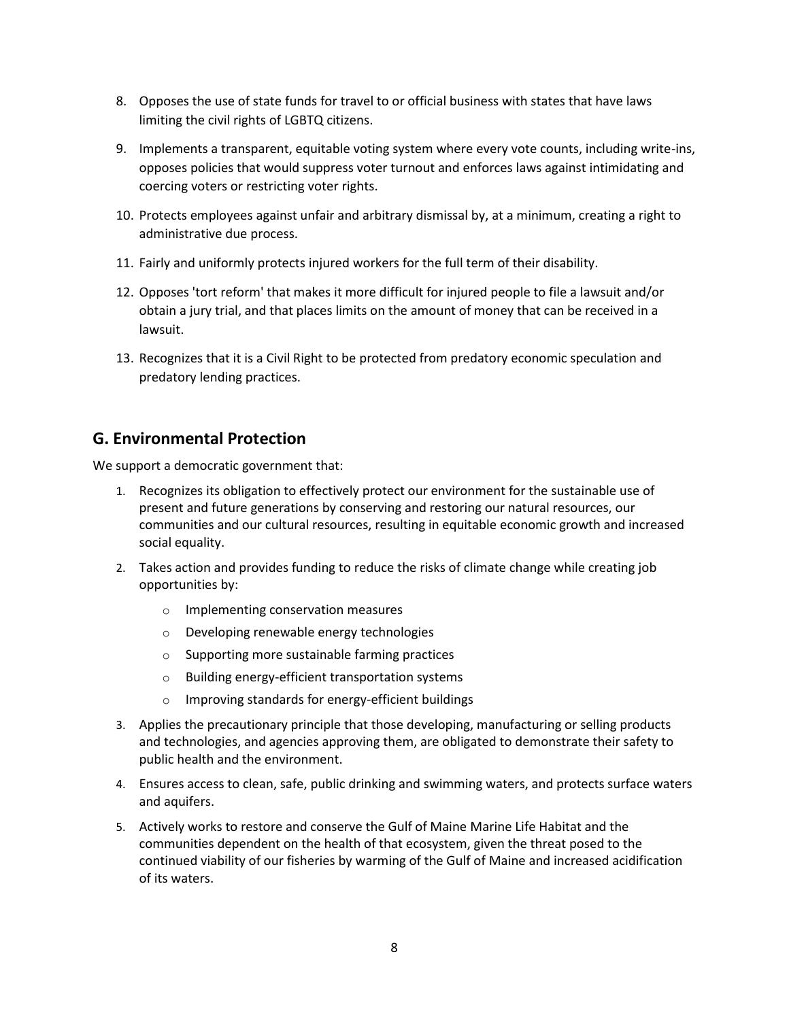- 8. Opposes the use of state funds for travel to or official business with states that have laws limiting the civil rights of LGBTQ citizens.
- 9. Implements a transparent, equitable voting system where every vote counts, including write-ins, opposes policies that would suppress voter turnout and enforces laws against intimidating and coercing voters or restricting voter rights.
- 10. Protects employees against unfair and arbitrary dismissal by, at a minimum, creating a right to administrative due process.
- 11. Fairly and uniformly protects injured workers for the full term of their disability.
- 12. Opposes 'tort reform' that makes it more difficult for injured people to file a lawsuit and/or obtain a jury trial, and that places limits on the amount of money that can be received in a lawsuit.
- 13. Recognizes that it is a Civil Right to be protected from predatory economic speculation and predatory lending practices.

## **G. Environmental Protection**

- 1. Recognizes its obligation to effectively protect our environment for the sustainable use of present and future generations by conserving and restoring our natural resources, our communities and our cultural resources, resulting in equitable economic growth and increased social equality.
- 2. Takes action and provides funding to reduce the risks of climate change while creating job opportunities by:
	- o Implementing conservation measures
	- o Developing renewable energy technologies
	- o Supporting more sustainable farming practices
	- o Building energy-efficient transportation systems
	- o Improving standards for energy-efficient buildings
- 3. Applies the precautionary principle that those developing, manufacturing or selling products and technologies, and agencies approving them, are obligated to demonstrate their safety to public health and the environment.
- 4. Ensures access to clean, safe, public drinking and swimming waters, and protects surface waters and aquifers.
- 5. Actively works to restore and conserve the Gulf of Maine Marine Life Habitat and the communities dependent on the health of that ecosystem, given the threat posed to the continued viability of our fisheries by warming of the Gulf of Maine and increased acidification of its waters.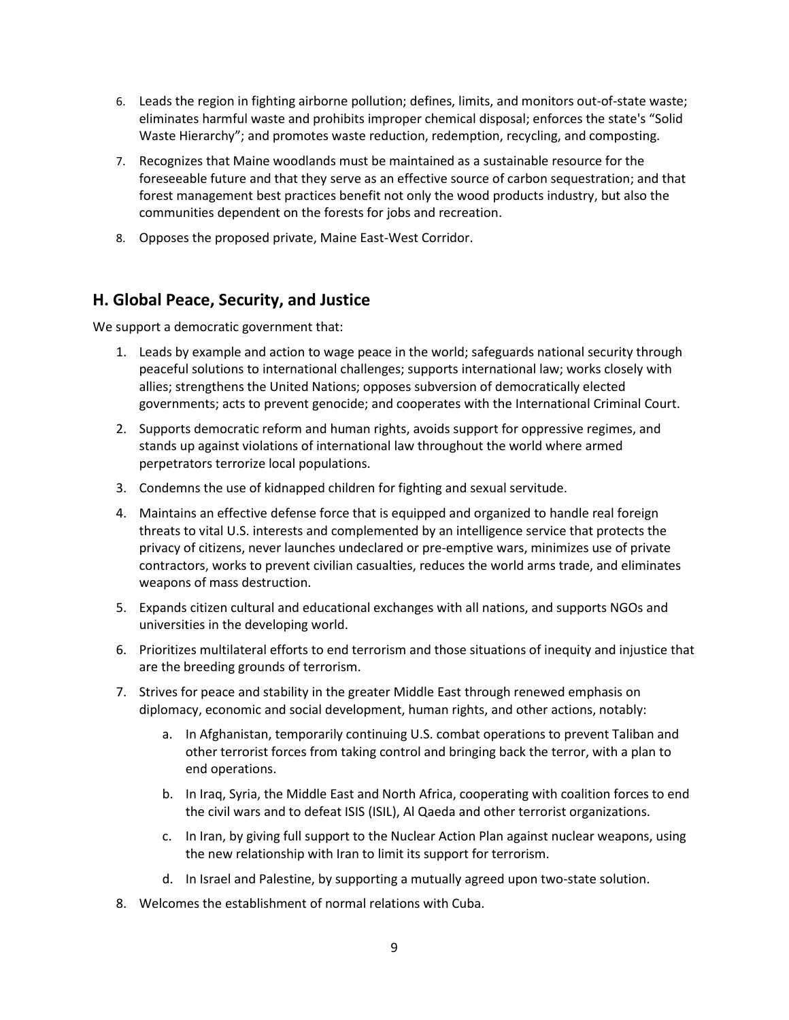- 6. Leads the region in fighting airborne pollution; defines, limits, and monitors out-of-state waste; eliminates harmful waste and prohibits improper chemical disposal; enforces the state's "Solid Waste Hierarchy"; and promotes waste reduction, redemption, recycling, and composting.
- 7. Recognizes that Maine woodlands must be maintained as a sustainable resource for the foreseeable future and that they serve as an effective source of carbon sequestration; and that forest management best practices benefit not only the wood products industry, but also the communities dependent on the forests for jobs and recreation.
- 8. Opposes the proposed private, Maine East-West Corridor.

### **H. Global Peace, Security, and Justice**

- 1. Leads by example and action to wage peace in the world; safeguards national security through peaceful solutions to international challenges; supports international law; works closely with allies; strengthens the United Nations; opposes subversion of democratically elected governments; acts to prevent genocide; and cooperates with the International Criminal Court.
- 2. Supports democratic reform and human rights, avoids support for oppressive regimes, and stands up against violations of international law throughout the world where armed perpetrators terrorize local populations.
- 3. Condemns the use of kidnapped children for fighting and sexual servitude.
- 4. Maintains an effective defense force that is equipped and organized to handle real foreign threats to vital U.S. interests and complemented by an intelligence service that protects the privacy of citizens, never launches undeclared or pre-emptive wars, minimizes use of private contractors, works to prevent civilian casualties, reduces the world arms trade, and eliminates weapons of mass destruction.
- 5. Expands citizen cultural and educational exchanges with all nations, and supports NGOs and universities in the developing world.
- 6. Prioritizes multilateral efforts to end terrorism and those situations of inequity and injustice that are the breeding grounds of terrorism.
- 7. Strives for peace and stability in the greater Middle East through renewed emphasis on diplomacy, economic and social development, human rights, and other actions, notably:
	- a. In Afghanistan, temporarily continuing U.S. combat operations to prevent Taliban and other terrorist forces from taking control and bringing back the terror, with a plan to end operations.
	- b. In Iraq, Syria, the Middle East and North Africa, cooperating with coalition forces to end the civil wars and to defeat ISIS (ISIL), Al Qaeda and other terrorist organizations.
	- c. In Iran, by giving full support to the Nuclear Action Plan against nuclear weapons, using the new relationship with Iran to limit its support for terrorism.
	- d. In Israel and Palestine, by supporting a mutually agreed upon two-state solution.
- 8. Welcomes the establishment of normal relations with Cuba.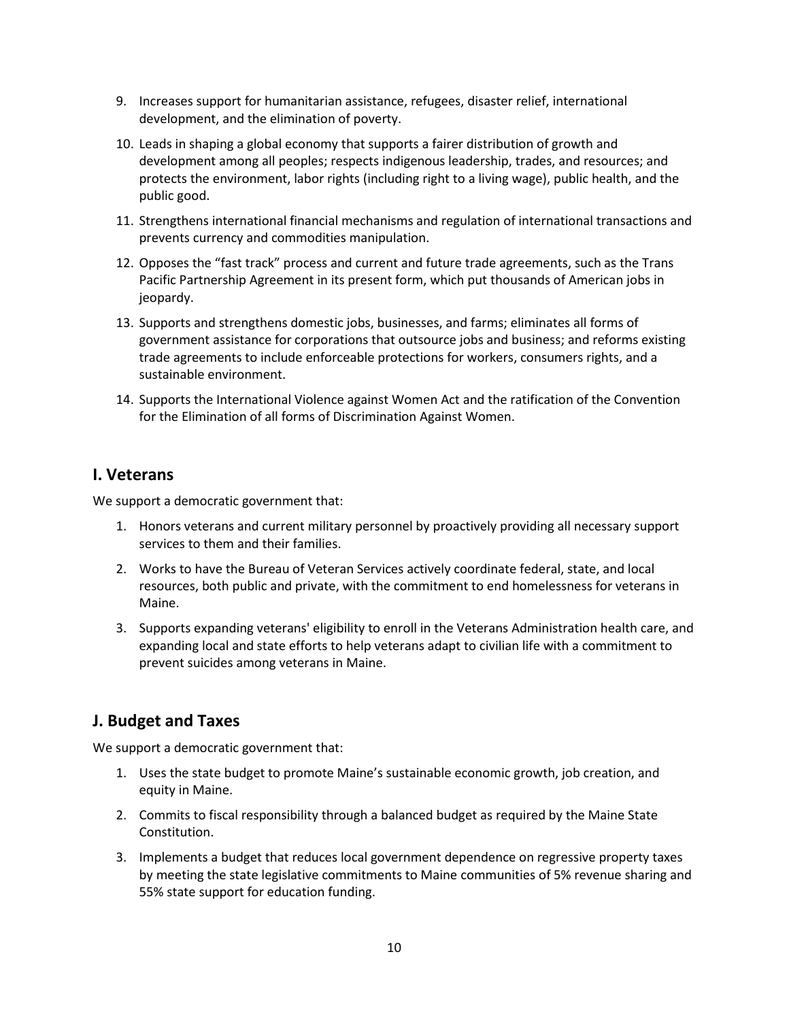- 9. Increases support for humanitarian assistance, refugees, disaster relief, international development, and the elimination of poverty.
- 10. Leads in shaping a global economy that supports a fairer distribution of growth and development among all peoples; respects indigenous leadership, trades, and resources; and protects the environment, labor rights (including right to a living wage), public health, and the public good.
- 11. Strengthens international financial mechanisms and regulation of international transactions and prevents currency and commodities manipulation.
- 12. Opposes the "fast track" process and current and future trade agreements, such as the Trans Pacific Partnership Agreement in its present form, which put thousands of American jobs in jeopardy.
- 13. Supports and strengthens domestic jobs, businesses, and farms; eliminates all forms of government assistance for corporations that outsource jobs and business; and reforms existing trade agreements to include enforceable protections for workers, consumers rights, and a sustainable environment.
- 14. Supports the International Violence against Women Act and the ratification of the Convention for the Elimination of all forms of Discrimination Against Women.

### **I. Veterans**

We support a democratic government that:

- 1. Honors veterans and current military personnel by proactively providing all necessary support services to them and their families.
- 2. Works to have the Bureau of Veteran Services actively coordinate federal, state, and local resources, both public and private, with the commitment to end homelessness for veterans in Maine.
- 3. Supports expanding veterans' eligibility to enroll in the Veterans Administration health care, and expanding local and state efforts to help veterans adapt to civilian life with a commitment to prevent suicides among veterans in Maine.

## **J. Budget and Taxes**

- 1. Uses the state budget to promote Maine's sustainable economic growth, job creation, and equity in Maine.
- 2. Commits to fiscal responsibility through a balanced budget as required by the Maine State Constitution.
- 3. Implements a budget that reduces local government dependence on regressive property taxes by meeting the state legislative commitments to Maine communities of 5% revenue sharing and 55% state support for education funding.